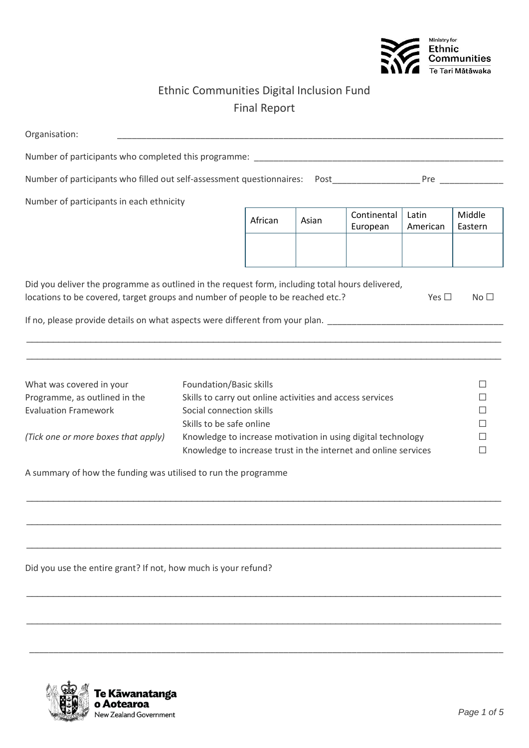

## Ethnic Communities Digital Inclusion Fund Final Report

| Organisation:                                                                                                                                                                                                                                                                                    |                                                              |         |       |                         |                   |                                                                                                                                                                                                                                |
|--------------------------------------------------------------------------------------------------------------------------------------------------------------------------------------------------------------------------------------------------------------------------------------------------|--------------------------------------------------------------|---------|-------|-------------------------|-------------------|--------------------------------------------------------------------------------------------------------------------------------------------------------------------------------------------------------------------------------|
| Number of participants who completed this programme: Number of participants who completed this programme:                                                                                                                                                                                        |                                                              |         |       |                         |                   |                                                                                                                                                                                                                                |
| Number of participants who filled out self-assessment questionnaires:  Post                                                                                                                                                                                                                      |                                                              |         |       |                         |                   | Pressure the contract of the contract of the contract of the contract of the contract of the contract of the contract of the contract of the contract of the contract of the contract of the contract of the contract of the c |
| Number of participants in each ethnicity                                                                                                                                                                                                                                                         |                                                              |         |       |                         |                   |                                                                                                                                                                                                                                |
|                                                                                                                                                                                                                                                                                                  |                                                              | African | Asian | Continental<br>European | Latin<br>American | Middle<br>Eastern                                                                                                                                                                                                              |
|                                                                                                                                                                                                                                                                                                  |                                                              |         |       |                         |                   |                                                                                                                                                                                                                                |
| Did you deliver the programme as outlined in the request form, including total hours delivered,<br>locations to be covered, target groups and number of people to be reached etc.?<br>Yes $\square$<br>No $\Box$<br>If no, please provide details on what aspects were different from your plan. |                                                              |         |       |                         |                   |                                                                                                                                                                                                                                |
|                                                                                                                                                                                                                                                                                                  |                                                              |         |       |                         |                   |                                                                                                                                                                                                                                |
|                                                                                                                                                                                                                                                                                                  |                                                              |         |       |                         |                   |                                                                                                                                                                                                                                |
| What was covered in your                                                                                                                                                                                                                                                                         | Foundation/Basic skills<br>$\Box$                            |         |       |                         |                   |                                                                                                                                                                                                                                |
| Programme, as outlined in the                                                                                                                                                                                                                                                                    | Skills to carry out online activities and access services    |         |       |                         | П                 |                                                                                                                                                                                                                                |
| <b>Evaluation Framework</b>                                                                                                                                                                                                                                                                      | Social connection skills<br>П                                |         |       |                         |                   |                                                                                                                                                                                                                                |
|                                                                                                                                                                                                                                                                                                  | Skills to be safe online<br>П                                |         |       |                         |                   |                                                                                                                                                                                                                                |
| (Tick one or more boxes that apply)                                                                                                                                                                                                                                                              | Knowledge to increase motivation in using digital technology |         |       |                         | П                 |                                                                                                                                                                                                                                |
| Knowledge to increase trust in the internet and online services                                                                                                                                                                                                                                  |                                                              |         |       |                         | $\Box$            |                                                                                                                                                                                                                                |
| A summary of how the funding was utilised to run the programme                                                                                                                                                                                                                                   |                                                              |         |       |                         |                   |                                                                                                                                                                                                                                |
|                                                                                                                                                                                                                                                                                                  |                                                              |         |       |                         |                   |                                                                                                                                                                                                                                |
|                                                                                                                                                                                                                                                                                                  |                                                              |         |       |                         |                   |                                                                                                                                                                                                                                |
|                                                                                                                                                                                                                                                                                                  |                                                              |         |       |                         |                   |                                                                                                                                                                                                                                |

 $\_$  , and the set of the set of the set of the set of the set of the set of the set of the set of the set of the set of the set of the set of the set of the set of the set of the set of the set of the set of the set of th

 $\_$  , and the set of the set of the set of the set of the set of the set of the set of the set of the set of the set of the set of the set of the set of the set of the set of the set of the set of the set of the set of th

 $\_$  , and the set of the set of the set of the set of the set of the set of the set of the set of the set of the set of the set of the set of the set of the set of the set of the set of the set of the set of the set of th

\_\_\_\_\_\_\_\_\_\_\_\_\_\_\_\_\_\_\_\_\_\_\_\_\_\_\_\_\_\_\_\_\_\_\_\_\_\_\_\_\_\_\_\_\_\_\_\_\_\_\_\_\_\_\_\_\_\_\_\_\_\_\_\_\_\_\_\_\_\_\_\_\_\_\_\_\_\_\_\_\_\_\_\_\_\_\_\_\_\_\_\_\_\_\_\_\_

Did you use the entire grant? If not, how much is your refund?

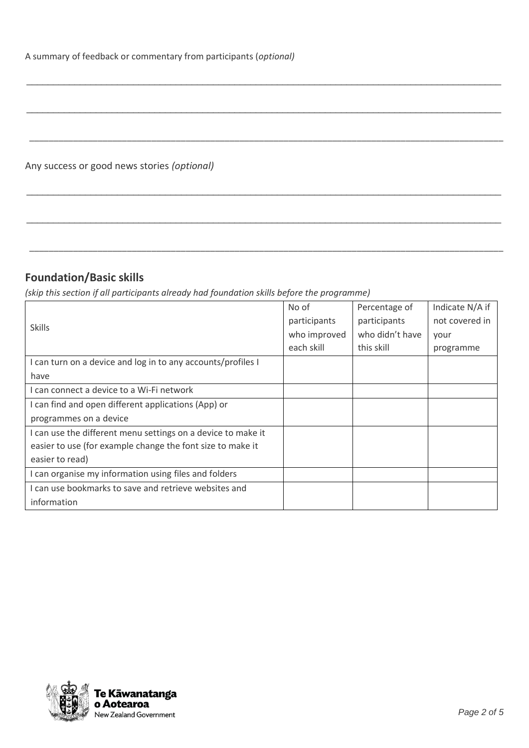Any success or good news stories *(optional)*

### **Foundation/Basic skills**

*(skip this section if all participants already had foundation skills before the programme)*

| <b>Skills</b>                                                | No of        | Percentage of   | Indicate N/A if |
|--------------------------------------------------------------|--------------|-----------------|-----------------|
|                                                              | participants | participants    | not covered in  |
|                                                              | who improved | who didn't have | your            |
|                                                              | each skill   | this skill      | programme       |
| I can turn on a device and log in to any accounts/profiles I |              |                 |                 |
| have                                                         |              |                 |                 |
| I can connect a device to a Wi-Fi network                    |              |                 |                 |
| I can find and open different applications (App) or          |              |                 |                 |
| programmes on a device                                       |              |                 |                 |
| I can use the different menu settings on a device to make it |              |                 |                 |
| easier to use (for example change the font size to make it   |              |                 |                 |
| easier to read)                                              |              |                 |                 |
| I can organise my information using files and folders        |              |                 |                 |
| I can use bookmarks to save and retrieve websites and        |              |                 |                 |
| information                                                  |              |                 |                 |

\_\_\_\_\_\_\_\_\_\_\_\_\_\_\_\_\_\_\_\_\_\_\_\_\_\_\_\_\_\_\_\_\_\_\_\_\_\_\_\_\_\_\_\_\_\_\_\_\_\_\_\_\_\_\_\_\_\_\_\_\_\_\_\_\_\_\_\_\_\_\_\_\_\_\_\_\_\_\_\_\_\_\_\_\_\_\_\_\_

 $\_$  , and the set of the set of the set of the set of the set of the set of the set of the set of the set of the set of the set of the set of the set of the set of the set of the set of the set of the set of the set of th

\_\_\_\_\_\_\_\_\_\_\_\_\_\_\_\_\_\_\_\_\_\_\_\_\_\_\_\_\_\_\_\_\_\_\_\_\_\_\_\_\_\_\_\_\_\_\_\_\_\_\_\_\_\_\_\_\_\_\_\_\_\_\_\_\_\_\_\_\_\_\_\_\_\_\_\_\_\_\_\_\_\_\_\_\_\_\_\_\_\_\_\_\_\_\_\_\_

 $\_$  , and the set of the set of the set of the set of the set of the set of the set of the set of the set of the set of the set of the set of the set of the set of the set of the set of the set of the set of the set of th

 $\_$  , and the set of the set of the set of the set of the set of the set of the set of the set of the set of the set of the set of the set of the set of the set of the set of the set of the set of the set of the set of th

\_\_\_\_\_\_\_\_\_\_\_\_\_\_\_\_\_\_\_\_\_\_\_\_\_\_\_\_\_\_\_\_\_\_\_\_\_\_\_\_\_\_\_\_\_\_\_\_\_\_\_\_\_\_\_\_\_\_\_\_\_\_\_\_\_\_\_\_\_\_\_\_\_\_\_\_\_\_\_\_\_\_\_\_\_\_\_\_\_\_\_\_\_\_\_\_\_

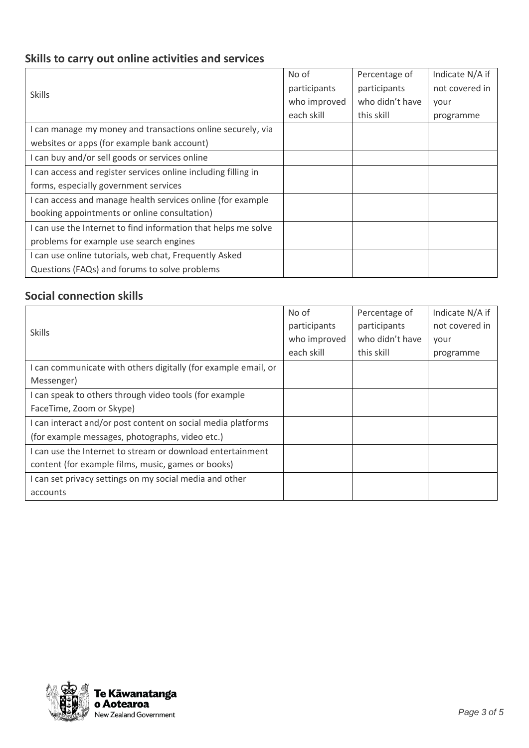# **Skills to carry out online activities and services**

| <b>Skills</b>                                                  | No of        | Percentage of   | Indicate N/A if |
|----------------------------------------------------------------|--------------|-----------------|-----------------|
|                                                                | participants | participants    | not covered in  |
|                                                                | who improved | who didn't have | your            |
|                                                                | each skill   | this skill      | programme       |
| I can manage my money and transactions online securely, via    |              |                 |                 |
| websites or apps (for example bank account)                    |              |                 |                 |
| I can buy and/or sell goods or services online                 |              |                 |                 |
| I can access and register services online including filling in |              |                 |                 |
| forms, especially government services                          |              |                 |                 |
| I can access and manage health services online (for example    |              |                 |                 |
| booking appointments or online consultation)                   |              |                 |                 |
| I can use the Internet to find information that helps me solve |              |                 |                 |
| problems for example use search engines                        |              |                 |                 |
| I can use online tutorials, web chat, Frequently Asked         |              |                 |                 |
| Questions (FAQs) and forums to solve problems                  |              |                 |                 |

#### **Social connection skills**

| <b>Skills</b>                                                  | No of        | Percentage of   | Indicate N/A if |
|----------------------------------------------------------------|--------------|-----------------|-----------------|
|                                                                | participants | participants    | not covered in  |
|                                                                | who improved | who didn't have | vour            |
|                                                                | each skill   | this skill      | programme       |
| I can communicate with others digitally (for example email, or |              |                 |                 |
| Messenger)                                                     |              |                 |                 |
| I can speak to others through video tools (for example         |              |                 |                 |
| FaceTime, Zoom or Skype)                                       |              |                 |                 |
| I can interact and/or post content on social media platforms   |              |                 |                 |
| (for example messages, photographs, video etc.)                |              |                 |                 |
| I can use the Internet to stream or download entertainment     |              |                 |                 |
| content (for example films, music, games or books)             |              |                 |                 |
| I can set privacy settings on my social media and other        |              |                 |                 |
| accounts                                                       |              |                 |                 |

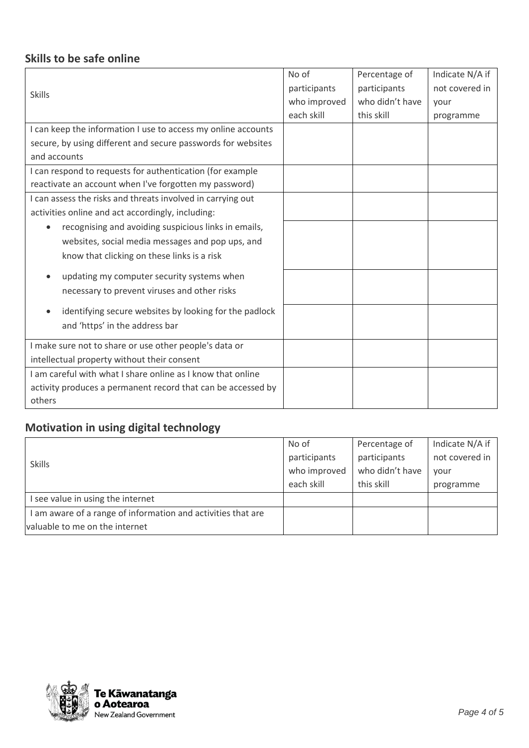### **Skills to be safe online**

|                                                                     | No of        | Percentage of   | Indicate N/A if |
|---------------------------------------------------------------------|--------------|-----------------|-----------------|
| <b>Skills</b>                                                       | participants | participants    | not covered in  |
|                                                                     | who improved | who didn't have | your            |
|                                                                     | each skill   | this skill      | programme       |
| I can keep the information I use to access my online accounts       |              |                 |                 |
| secure, by using different and secure passwords for websites        |              |                 |                 |
| and accounts                                                        |              |                 |                 |
| I can respond to requests for authentication (for example           |              |                 |                 |
| reactivate an account when I've forgotten my password)              |              |                 |                 |
| I can assess the risks and threats involved in carrying out         |              |                 |                 |
| activities online and act accordingly, including:                   |              |                 |                 |
| recognising and avoiding suspicious links in emails,<br>$\bullet$   |              |                 |                 |
| websites, social media messages and pop ups, and                    |              |                 |                 |
| know that clicking on these links is a risk                         |              |                 |                 |
| updating my computer security systems when                          |              |                 |                 |
| necessary to prevent viruses and other risks                        |              |                 |                 |
| identifying secure websites by looking for the padlock<br>$\bullet$ |              |                 |                 |
| and 'https' in the address bar                                      |              |                 |                 |
| I make sure not to share or use other people's data or              |              |                 |                 |
| intellectual property without their consent                         |              |                 |                 |
| I am careful with what I share online as I know that online         |              |                 |                 |
| activity produces a permanent record that can be accessed by        |              |                 |                 |
| others                                                              |              |                 |                 |

# **Motivation in using digital technology**

| <b>Skills</b>                                                | No of        | Percentage of   | Indicate N/A if |
|--------------------------------------------------------------|--------------|-----------------|-----------------|
|                                                              | participants | participants    | not covered in  |
|                                                              | who improved | who didn't have | vour            |
|                                                              | each skill   | this skill      | programme       |
| I see value in using the internet                            |              |                 |                 |
| I am aware of a range of information and activities that are |              |                 |                 |
| valuable to me on the internet                               |              |                 |                 |